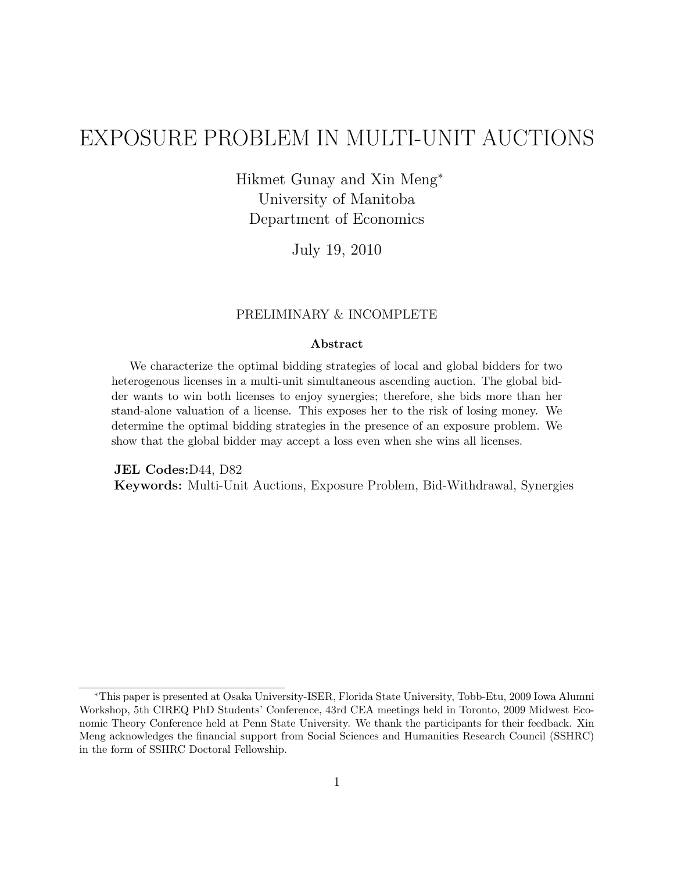# EXPOSURE PROBLEM IN MULTI-UNIT AUCTIONS

Hikmet Gunay and Xin Meng<sup>∗</sup> University of Manitoba Department of Economics

July 19, 2010

#### PRELIMINARY & INCOMPLETE

#### Abstract

We characterize the optimal bidding strategies of local and global bidders for two heterogenous licenses in a multi-unit simultaneous ascending auction. The global bidder wants to win both licenses to enjoy synergies; therefore, she bids more than her stand-alone valuation of a license. This exposes her to the risk of losing money. We determine the optimal bidding strategies in the presence of an exposure problem. We show that the global bidder may accept a loss even when she wins all licenses.

JEL Codes:D44, D82 Keywords: Multi-Unit Auctions, Exposure Problem, Bid-Withdrawal, Synergies

<sup>∗</sup>This paper is presented at Osaka University-ISER, Florida State University, Tobb-Etu, 2009 Iowa Alumni Workshop, 5th CIREQ PhD Students' Conference, 43rd CEA meetings held in Toronto, 2009 Midwest Economic Theory Conference held at Penn State University. We thank the participants for their feedback. Xin Meng acknowledges the financial support from Social Sciences and Humanities Research Council (SSHRC) in the form of SSHRC Doctoral Fellowship.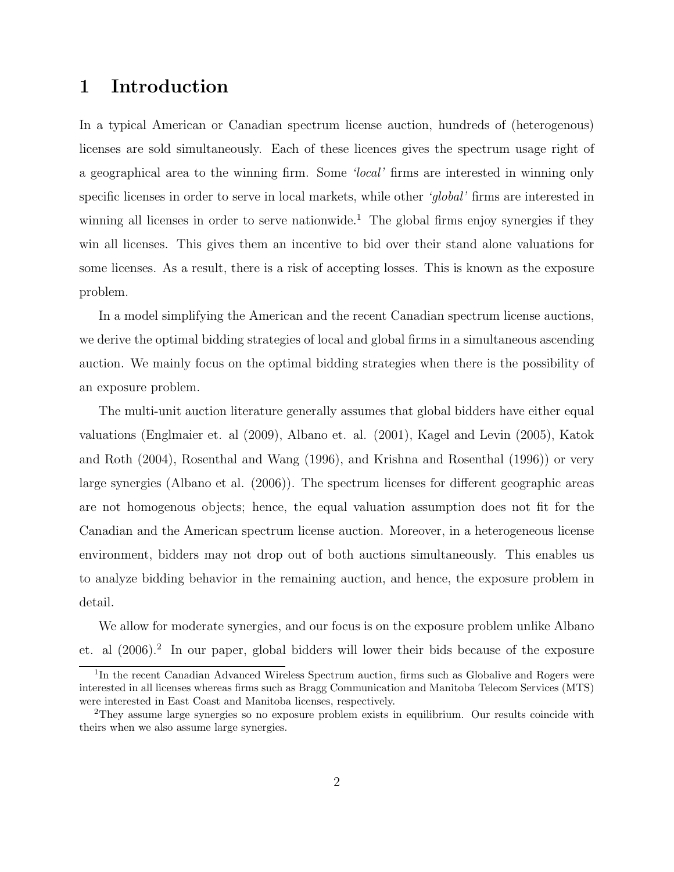# 1 Introduction

In a typical American or Canadian spectrum license auction, hundreds of (heterogenous) licenses are sold simultaneously. Each of these licences gives the spectrum usage right of a geographical area to the winning firm. Some 'local' firms are interested in winning only specific licenses in order to serve in local markets, while other 'global' firms are interested in winning all licenses in order to serve nationwide.<sup>1</sup> The global firms enjoy synergies if they win all licenses. This gives them an incentive to bid over their stand alone valuations for some licenses. As a result, there is a risk of accepting losses. This is known as the exposure problem.

In a model simplifying the American and the recent Canadian spectrum license auctions, we derive the optimal bidding strategies of local and global firms in a simultaneous ascending auction. We mainly focus on the optimal bidding strategies when there is the possibility of an exposure problem.

The multi-unit auction literature generally assumes that global bidders have either equal valuations (Englmaier et. al (2009), Albano et. al. (2001), Kagel and Levin (2005), Katok and Roth (2004), Rosenthal and Wang (1996), and Krishna and Rosenthal (1996)) or very large synergies (Albano et al. (2006)). The spectrum licenses for different geographic areas are not homogenous objects; hence, the equal valuation assumption does not fit for the Canadian and the American spectrum license auction. Moreover, in a heterogeneous license environment, bidders may not drop out of both auctions simultaneously. This enables us to analyze bidding behavior in the remaining auction, and hence, the exposure problem in detail.

We allow for moderate synergies, and our focus is on the exposure problem unlike Albano et. al  $(2006).<sup>2</sup>$  In our paper, global bidders will lower their bids because of the exposure

<sup>&</sup>lt;sup>1</sup>In the recent Canadian Advanced Wireless Spectrum auction, firms such as Globalive and Rogers were interested in all licenses whereas firms such as Bragg Communication and Manitoba Telecom Services (MTS) were interested in East Coast and Manitoba licenses, respectively.

<sup>2</sup>They assume large synergies so no exposure problem exists in equilibrium. Our results coincide with theirs when we also assume large synergies.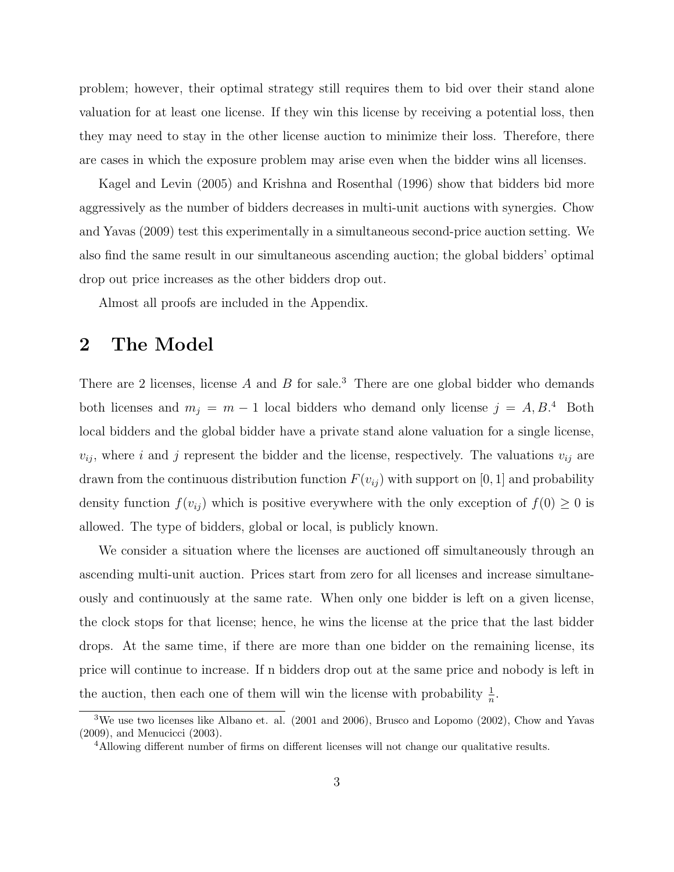problem; however, their optimal strategy still requires them to bid over their stand alone valuation for at least one license. If they win this license by receiving a potential loss, then they may need to stay in the other license auction to minimize their loss. Therefore, there are cases in which the exposure problem may arise even when the bidder wins all licenses.

Kagel and Levin (2005) and Krishna and Rosenthal (1996) show that bidders bid more aggressively as the number of bidders decreases in multi-unit auctions with synergies. Chow and Yavas (2009) test this experimentally in a simultaneous second-price auction setting. We also find the same result in our simultaneous ascending auction; the global bidders' optimal drop out price increases as the other bidders drop out.

Almost all proofs are included in the Appendix.

### 2 The Model

There are 2 licenses, license  $A$  and  $B$  for sale.<sup>3</sup> There are one global bidder who demands both licenses and  $m_j = m - 1$  local bidders who demand only license  $j = A, B$ <sup>4</sup> Both local bidders and the global bidder have a private stand alone valuation for a single license,  $v_{ij}$ , where *i* and *j* represent the bidder and the license, respectively. The valuations  $v_{ij}$  are drawn from the continuous distribution function  $F(v_{ij})$  with support on [0, 1] and probability density function  $f(v_{ij})$  which is positive everywhere with the only exception of  $f(0) \geq 0$  is allowed. The type of bidders, global or local, is publicly known.

We consider a situation where the licenses are auctioned off simultaneously through an ascending multi-unit auction. Prices start from zero for all licenses and increase simultaneously and continuously at the same rate. When only one bidder is left on a given license, the clock stops for that license; hence, he wins the license at the price that the last bidder drops. At the same time, if there are more than one bidder on the remaining license, its price will continue to increase. If n bidders drop out at the same price and nobody is left in the auction, then each one of them will win the license with probability  $\frac{1}{n}$ .

<sup>3</sup>We use two licenses like Albano et. al. (2001 and 2006), Brusco and Lopomo (2002), Chow and Yavas (2009), and Menucicci (2003).

<sup>&</sup>lt;sup>4</sup>Allowing different number of firms on different licenses will not change our qualitative results.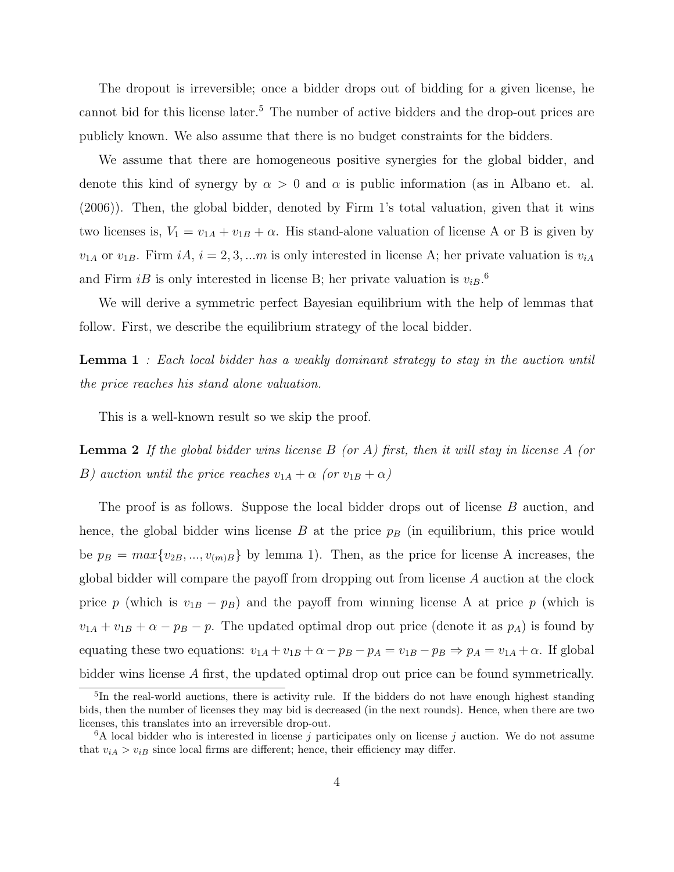The dropout is irreversible; once a bidder drops out of bidding for a given license, he cannot bid for this license later.<sup>5</sup> The number of active bidders and the drop-out prices are publicly known. We also assume that there is no budget constraints for the bidders.

We assume that there are homogeneous positive synergies for the global bidder, and denote this kind of synergy by  $\alpha > 0$  and  $\alpha$  is public information (as in Albano et. al. (2006)). Then, the global bidder, denoted by Firm 1's total valuation, given that it wins two licenses is,  $V_1 = v_{1A} + v_{1B} + \alpha$ . His stand-alone valuation of license A or B is given by  $v_{1A}$  or  $v_{1B}$ . Firm  $iA$ ,  $i = 2, 3, \ldots m$  is only interested in license A; her private valuation is  $v_{iA}$ and Firm  $iB$  is only interested in license B; her private valuation is  $v_{iB}$ .<sup>6</sup>

We will derive a symmetric perfect Bayesian equilibrium with the help of lemmas that follow. First, we describe the equilibrium strategy of the local bidder.

**Lemma 1** : Each local bidder has a weakly dominant strategy to stay in the auction until the price reaches his stand alone valuation.

This is a well-known result so we skip the proof.

**Lemma 2** If the global bidder wins license  $B$  (or  $A$ ) first, then it will stay in license  $A$  (or B) auction until the price reaches  $v_{1A} + \alpha$  (or  $v_{1B} + \alpha$ )

The proof is as follows. Suppose the local bidder drops out of license  $B$  auction, and hence, the global bidder wins license  $B$  at the price  $p_B$  (in equilibrium, this price would be  $p_B = max\{v_{2B},..., v_{(m)B}\}\$  by lemma 1). Then, as the price for license A increases, the global bidder will compare the payoff from dropping out from license  $A$  auction at the clock price  $p$  (which is  $v_{1B} - p_B$ ) and the payoff from winning license A at price  $p$  (which is  $v_{1A} + v_{1B} + \alpha - p_B - p$ . The updated optimal drop out price (denote it as  $p_A$ ) is found by equating these two equations:  $v_{1A} + v_{1B} + \alpha - p_B - p_A = v_{1B} - p_B \Rightarrow p_A = v_{1A} + \alpha$ . If global bidder wins license A first, the updated optimal drop out price can be found symmetrically.

<sup>&</sup>lt;sup>5</sup>In the real-world auctions, there is activity rule. If the bidders do not have enough highest standing bids, then the number of licenses they may bid is decreased (in the next rounds). Hence, when there are two licenses, this translates into an irreversible drop-out.

<sup>&</sup>lt;sup>6</sup>A local bidder who is interested in license j participates only on license j auction. We do not assume that  $v_{iA} > v_{iB}$  since local firms are different; hence, their efficiency may differ.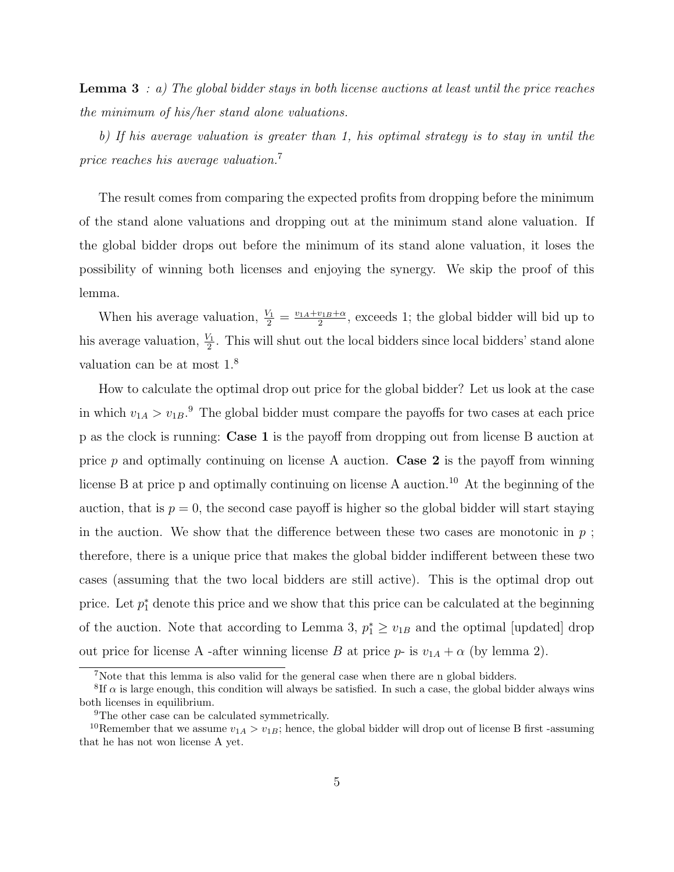**Lemma 3** : a) The global bidder stays in both license auctions at least until the price reaches the minimum of his/her stand alone valuations.

b) If his average valuation is greater than 1, his optimal strategy is to stay in until the price reaches his average valuation.<sup>7</sup>

The result comes from comparing the expected profits from dropping before the minimum of the stand alone valuations and dropping out at the minimum stand alone valuation. If the global bidder drops out before the minimum of its stand alone valuation, it loses the possibility of winning both licenses and enjoying the synergy. We skip the proof of this lemma.

When his average valuation,  $\frac{V_1}{2} = \frac{v_{1A} + v_{1B} + \alpha}{2}$  $\frac{v_{1B}+\alpha}{2}$ , exceeds 1; the global bidder will bid up to his average valuation,  $\frac{V_1}{2}$ . This will shut out the local bidders since local bidders' stand alone valuation can be at most 1.<sup>8</sup>

How to calculate the optimal drop out price for the global bidder? Let us look at the case in which  $v_{1A} > v_{1B}$ .<sup>9</sup> The global bidder must compare the payoffs for two cases at each price p as the clock is running: Case 1 is the payoff from dropping out from license B auction at price  $p$  and optimally continuing on license A auction. **Case 2** is the payoff from winning license B at price p and optimally continuing on license A auction.<sup>10</sup> At the beginning of the auction, that is  $p = 0$ , the second case payoff is higher so the global bidder will start staying in the auction. We show that the difference between these two cases are monotonic in  $p$ ; therefore, there is a unique price that makes the global bidder indifferent between these two cases (assuming that the two local bidders are still active). This is the optimal drop out price. Let  $p_1^*$  denote this price and we show that this price can be calculated at the beginning of the auction. Note that according to Lemma 3,  $p_1^* \geq v_{1B}$  and the optimal [updated] drop out price for license A -after winning license B at price  $p$ - is  $v_{1A} + \alpha$  (by lemma 2).

<sup>7</sup>Note that this lemma is also valid for the general case when there are n global bidders.

<sup>&</sup>lt;sup>8</sup>If  $\alpha$  is large enough, this condition will always be satisfied. In such a case, the global bidder always wins both licenses in equilibrium.

<sup>&</sup>lt;sup>9</sup>The other case can be calculated symmetrically.

<sup>&</sup>lt;sup>10</sup>Remember that we assume  $v_{1A} > v_{1B}$ ; hence, the global bidder will drop out of license B first -assuming that he has not won license A yet.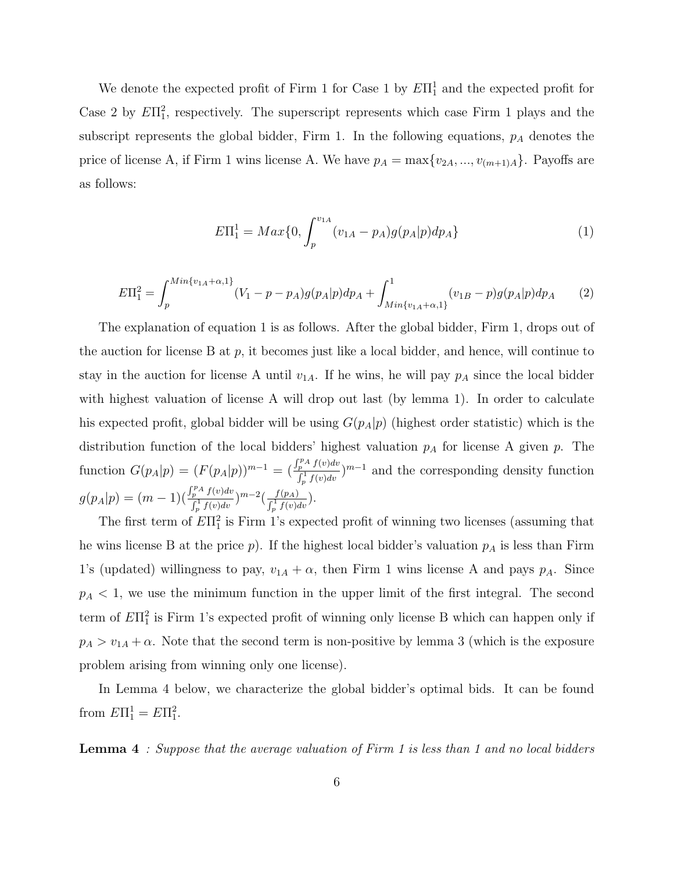We denote the expected profit of Firm 1 for Case 1 by  $E\Pi_1^1$  and the expected profit for Case 2 by  $E\Pi_1^2$ , respectively. The superscript represents which case Firm 1 plays and the subscript represents the global bidder, Firm 1. In the following equations,  $p_A$  denotes the price of license A, if Firm 1 wins license A. We have  $p_A = \max\{v_{2A}, ..., v_{(m+1)A}\}\$ . Payoffs are as follows:

$$
E\Pi_1^1 = Max\{0, \int_p^{v_{1A}} (v_{1A} - p_A)g(p_A|p)dp_A\} \tag{1}
$$

$$
E\Pi_1^2 = \int_p^{Min\{v_{1A} + \alpha, 1\}} (V_1 - p - p_A)g(p_A|p)dp_A + \int_{Min\{v_{1A} + \alpha, 1\}}^1 (v_{1B} - p)g(p_A|p)dp_A \tag{2}
$$

The explanation of equation 1 is as follows. After the global bidder, Firm 1, drops out of the auction for license B at  $p$ , it becomes just like a local bidder, and hence, will continue to stay in the auction for license A until  $v_{1A}$ . If he wins, he will pay  $p_A$  since the local bidder with highest valuation of license A will drop out last (by lemma 1). In order to calculate his expected profit, global bidder will be using  $G(p_A|p)$  (highest order statistic) which is the distribution function of the local bidders' highest valuation  $p_A$  for license A given  $p$ . The function  $G(p_A|p) = (F(p_A|p))^{m-1} = ($  $\int_{\frac{p}{\mu}}^{\frac{p}{\mu}} f(v) dv}{\int_{\frac{1}{\mu}}^{\frac{1}{\mu}} f(v) dv}$ <sup>n-1</sup> and the corresponding density function  $g(p_A|p) = (m-1)($  $\int_{p}^{p} \frac{\int_{p}^{p} f(v) dv}{\int_{p}^{1} f(v) dv} \Big) m - 2 \Big( \frac{f(p_A)}{\int_{p}^{1} f(v) dv} \Big).$ 

The first term of  $E\Pi_1^2$  is Firm 1's expected profit of winning two licenses (assuming that he wins license B at the price  $p$ ). If the highest local bidder's valuation  $p_A$  is less than Firm 1's (updated) willingness to pay,  $v_{1A} + \alpha$ , then Firm 1 wins license A and pays  $p_A$ . Since  $p_A < 1$ , we use the minimum function in the upper limit of the first integral. The second term of  $E\Pi_1^2$  is Firm 1's expected profit of winning only license B which can happen only if  $p_A > v_{1A} + \alpha$ . Note that the second term is non-positive by lemma 3 (which is the exposure problem arising from winning only one license).

In Lemma 4 below, we characterize the global bidder's optimal bids. It can be found from  $E\Pi_1^1 = E\Pi_1^2$ .

**Lemma 4** : Suppose that the average valuation of Firm 1 is less than 1 and no local bidders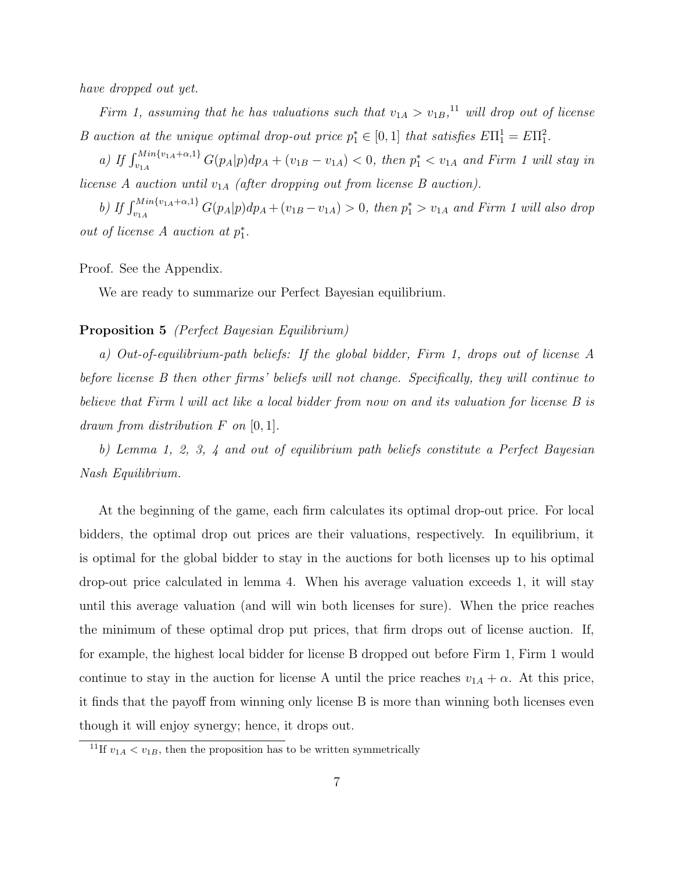have dropped out yet.

Firm 1, assuming that he has valuations such that  $v_{1A} > v_{1B}$ ,<sup>11</sup> will drop out of license B auction at the unique optimal drop-out price  $p_1^* \in [0,1]$  that satisfies  $E\Pi_1^1 = E\Pi_1^2$ .

a) If  $\int_{v_{1A}}^{Min\{v_{1A}+\alpha,1\}} G(p_A|p) dp_A + (v_{1B}-v_{1A}) < 0$ , then  $p_1^* < v_{1A}$  and Firm 1 will stay in license A auction until  $v_{1A}$  (after dropping out from license B auction).

b) If  $\int_{v_{1A}}^{Min\{v_{1A}+\alpha,1\}} G(p_A|p) dp_A + (v_{1B}-v_{1A}) > 0$ , then  $p_1^* > v_{1A}$  and Firm 1 will also drop out of license  $A$  auction at  $p_1^*$ .

Proof. See the Appendix.

We are ready to summarize our Perfect Bayesian equilibrium.

#### Proposition 5 (Perfect Bayesian Equilibrium)

a) Out-of-equilibrium-path beliefs: If the global bidder, Firm 1, drops out of license A before license B then other firms' beliefs will not change. Specifically, they will continue to believe that Firm l will act like a local bidder from now on and its valuation for license B is drawn from distribution  $F$  on [0, 1].

b) Lemma 1, 2, 3, 4 and out of equilibrium path beliefs constitute a Perfect Bayesian Nash Equilibrium.

At the beginning of the game, each firm calculates its optimal drop-out price. For local bidders, the optimal drop out prices are their valuations, respectively. In equilibrium, it is optimal for the global bidder to stay in the auctions for both licenses up to his optimal drop-out price calculated in lemma 4. When his average valuation exceeds 1, it will stay until this average valuation (and will win both licenses for sure). When the price reaches the minimum of these optimal drop put prices, that firm drops out of license auction. If, for example, the highest local bidder for license B dropped out before Firm 1, Firm 1 would continue to stay in the auction for license A until the price reaches  $v_{1A} + \alpha$ . At this price, it finds that the payoff from winning only license B is more than winning both licenses even though it will enjoy synergy; hence, it drops out.

<sup>&</sup>lt;sup>11</sup>If  $v_{1A} < v_{1B}$ , then the proposition has to be written symmetrically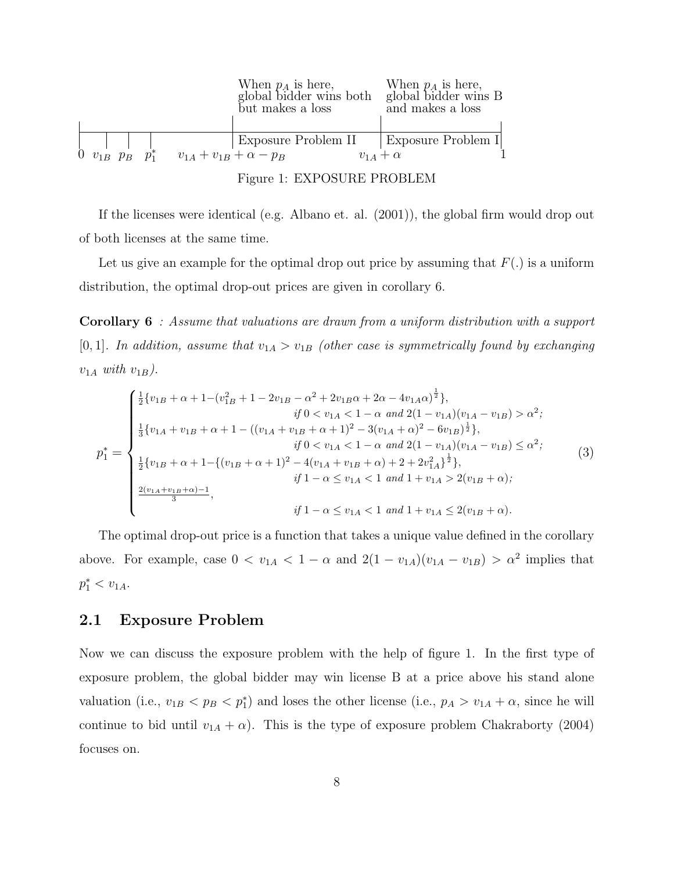|  |                                                           | When $p_A$ is here, When $p_A$ is here,<br>global bidder wins both<br>but makes a loss | global bidder wins B<br>and makes a loss |
|--|-----------------------------------------------------------|----------------------------------------------------------------------------------------|------------------------------------------|
|  |                                                           |                                                                                        | Exposure Problem II   Exposure Problem I |
|  | 0 $v_{1B}$ $p_B$ $p_1^*$ $v_{1A} + v_{1B} + \alpha - p_B$ |                                                                                        | $v_{14} + \alpha$                        |
|  |                                                           |                                                                                        |                                          |

Figure 1: EXPOSURE PROBLEM

If the licenses were identical (e.g. Albano et. al. (2001)), the global firm would drop out of both licenses at the same time.

Let us give an example for the optimal drop out price by assuming that  $F(.)$  is a uniform distribution, the optimal drop-out prices are given in corollary 6.

Corollary 6 : Assume that valuations are drawn from a uniform distribution with a support [0, 1]. In addition, assume that  $v_{1A} > v_{1B}$  (other case is symmetrically found by exchanging  $v_{1A}$  with  $v_{1B}$ ).

$$
p_1^* = \begin{cases} \frac{1}{2} \{v_{1B} + \alpha + 1 - (v_{1B}^2 + 1 - 2v_{1B} - \alpha^2 + 2v_{1B}\alpha + 2\alpha - 4v_{1A}\alpha)^{\frac{1}{2}}\}, & \text{if } 0 < v_{1A} < 1 - \alpha \text{ and } 2(1 - v_{1A})(v_{1A} - v_{1B}) > \alpha^2; \\ \frac{1}{3} \{v_{1A} + v_{1B} + \alpha + 1 - ((v_{1A} + v_{1B} + \alpha + 1)^2 - 3(v_{1A} + \alpha)^2 - 6v_{1B})^{\frac{1}{2}}\}, & \text{if } 0 < v_{1A} < 1 - \alpha \text{ and } 2(1 - v_{1A})(v_{1A} - v_{1B}) \leq \alpha^2; \\ \frac{1}{2} \{v_{1B} + \alpha + 1 - \{(v_{1B} + \alpha + 1)^2 - 4(v_{1A} + v_{1B} + \alpha) + 2 + 2v_{1A}^2\}^{\frac{1}{2}}\}, & \text{if } 1 - \alpha \leq v_{1A} < 1 \text{ and } 1 + v_{1A} > 2(v_{1B} + \alpha). \end{cases} \tag{3}
$$

The optimal drop-out price is a function that takes a unique value defined in the corollary above. For example, case  $0 < v_{1A} < 1 - \alpha$  and  $2(1 - v_{1A})(v_{1A} - v_{1B}) > \alpha^2$  implies that  $p_1^* < v_{1A}.$ 

#### 2.1 Exposure Problem

Now we can discuss the exposure problem with the help of figure 1. In the first type of exposure problem, the global bidder may win license B at a price above his stand alone valuation (i.e.,  $v_{1B} < p_B < p_1^*$ ) and loses the other license (i.e.,  $p_A > v_{1A} + \alpha$ , since he will continue to bid until  $v_{1A} + \alpha$ ). This is the type of exposure problem Chakraborty (2004) focuses on.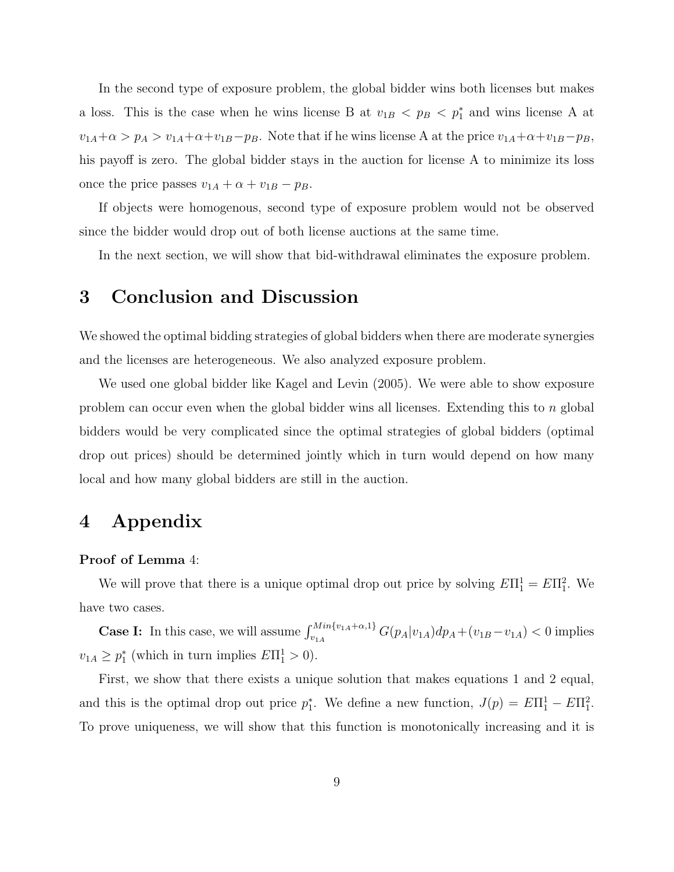In the second type of exposure problem, the global bidder wins both licenses but makes a loss. This is the case when he wins license B at  $v_{1B} < p_B < p_1^*$  and wins license A at  $v_{1A} + \alpha > p_A > v_{1A} + \alpha + v_{1B} - p_B$ . Note that if he wins license A at the price  $v_{1A} + \alpha + v_{1B} - p_B$ , his payoff is zero. The global bidder stays in the auction for license A to minimize its loss once the price passes  $v_{1A} + \alpha + v_{1B} - p_B$ .

If objects were homogenous, second type of exposure problem would not be observed since the bidder would drop out of both license auctions at the same time.

In the next section, we will show that bid-withdrawal eliminates the exposure problem.

## 3 Conclusion and Discussion

We showed the optimal bidding strategies of global bidders when there are moderate synergies and the licenses are heterogeneous. We also analyzed exposure problem.

We used one global bidder like Kagel and Levin (2005). We were able to show exposure problem can occur even when the global bidder wins all licenses. Extending this to  $n$  global bidders would be very complicated since the optimal strategies of global bidders (optimal drop out prices) should be determined jointly which in turn would depend on how many local and how many global bidders are still in the auction.

# 4 Appendix

#### Proof of Lemma 4:

We will prove that there is a unique optimal drop out price by solving  $E\Pi_1^1 = E\Pi_1^2$ . We have two cases.

**Case I:** In this case, we will assume  $\int_{v_{1A}}^{Min\{v_{1A}+\alpha,1\}} G(p_A|v_{1A}) dp_A + (v_{1B}-v_{1A}) < 0$  implies  $v_{1A} \ge p_1^*$  (which in turn implies  $E\Pi_1^1 > 0$ ).

First, we show that there exists a unique solution that makes equations 1 and 2 equal, and this is the optimal drop out price  $p_1^*$ . We define a new function,  $J(p) = E\Pi_1^1 - E\Pi_1^2$ . To prove uniqueness, we will show that this function is monotonically increasing and it is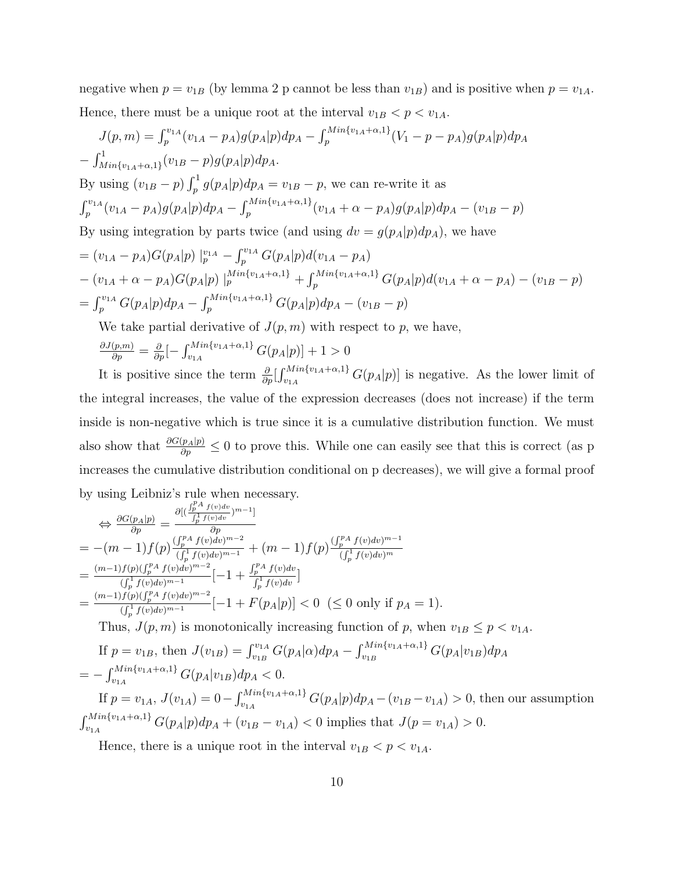negative when  $p = v_{1B}$  (by lemma 2 p cannot be less than  $v_{1B}$ ) and is positive when  $p = v_{1A}$ . Hence, there must be a unique root at the interval  $v_{1B} < p < v_{1A}$ .

$$
J(p,m) = \int_{p}^{v_{1A}} (v_{1A} - p_{A}) g(p_{A}|p) dp_{A} - \int_{p}^{Min\{v_{1A} + \alpha, 1\}} (V_{1} - p - p_{A}) g(p_{A}|p) dp_{A}
$$
  
\n
$$
- \int_{Min\{v_{1A} + \alpha, 1\}}^{1} (v_{1B} - p) g(p_{A}|p) dp_{A}.
$$
  
\nBy using  $(v_{1B} - p) \int_{p}^{1} g(p_{A}|p) dp_{A} = v_{1B} - p$ , we can re-write it as  
\n
$$
\int_{p}^{v_{1A}} (v_{1A} - p_{A}) g(p_{A}|p) dp_{A} - \int_{p}^{Min\{v_{1A} + \alpha, 1\}} (v_{1A} + \alpha - p_{A}) g(p_{A}|p) dp_{A} - (v_{1B} - p)
$$
  
\nBy using integration by parts twice (and using  $dv = g(p_{A}|p) dp_{A}$ ), we have  
\n
$$
= (v_{1A} - p_{A}) G(p_{A}|p) \mid_{p}^{v_{1A}} - \int_{p}^{v_{1A}} G(p_{A}|p) d(v_{1A} - p_{A})
$$
  
\n
$$
- (v_{1A} + \alpha - p_{A}) G(p_{A}|p) \mid_{p}^{Min\{v_{1A} + \alpha, 1\}} + \int_{p}^{Min\{v_{1A} + \alpha, 1\}} G(p_{A}|p) d(v_{1A} + \alpha - p_{A}) - (v_{1B} - p)
$$
  
\n
$$
= \int_{p}^{v_{1A}} G(p_{A}|p) dp_{A} - \int_{p}^{Min\{v_{1A} + \alpha, 1\}} G(p_{A}|p) dp_{A} - (v_{1B} - p)
$$
  
\nWe take partial derivative of  $I(p, m)$  with respect to  $p$ , we have

We take partial derivative of  $J(p, m)$  with respect to  $p$ , we have,

$$
\frac{\partial J(p,m)}{\partial p} = \frac{\partial}{\partial p} \left[ -\int_{v_{1A}}^{Min\{v_{1A} + \alpha, 1\}} G(p_A | p) \right] + 1 > 0
$$

It is positive since the term  $\frac{\partial}{\partial p}$  $C^{N}{}_{n_1}^{n_2}C^{N}F^{N}G(p_A|p)$  is negative. As the lower limit of the integral increases, the value of the expression decreases (does not increase) if the term inside is non-negative which is true since it is a cumulative distribution function. We must also show that  $\frac{\partial G(p_A|p)}{\partial p} \leq 0$  to prove this. While one can easily see that this is correct (as p increases the cumulative distribution conditional on p decreases), we will give a formal proof by using Leibniz's rule when necessary.

$$
\Rightarrow \frac{\partial G(p_A|p)}{\partial p} = \frac{\partial [(\frac{f_p^p A f(v)dv}{f_p^1 f(v)dv})^{m-1}]}{\partial p}
$$
\n
$$
= -(m-1)f(p)\frac{(\frac{f_p^p A f(v)dv}{f_p^1 f(v)dv})^{m-2}}{(\frac{f_p^1 f(v)dv})^{m-1}} + (m-1)f(p)\frac{(\frac{f_p^p A f(v)dv}{f_p^1 f(v)dv})^{m-1}}{(\frac{f_p^1 f(v)dv})^{m-1}}\n= \frac{(m-1)f(p)(\frac{f_p^p A f(v)dv}{f_p^1 f(v)dv})^{m-2}}{(\frac{f_p^1 f(v)dv})^{m-1}}[-1 + \frac{f_p^p A f(v)dv}{f_p^1 f(v)dv}]
$$
\n
$$
= \frac{(m-1)f(p)(\frac{f_p^p A f(v)dv}{f_p^1 f(v)dv})^{m-2}}{(\frac{f_p^1 f(v)dv})^{m-1}}[-1 + F(p_A|p)] < 0 \ (\leq 0 \text{ only if } p_A = 1).
$$
\nThus,  $J(p, m)$  is monotonically increasing function of  $p$ , when  $v_{1B} \leq p < v_{1A}$ .  
\nIf  $p = v_{1B}$ , then  $J(v_{1B}) = \int_{v_{1B}}^{v_{1A}} G(p_A|\alpha) dp_A - \int_{v_{1B}}^{Min\{v_{1A} + \alpha, 1\}} G(p_A|v_{1B}) dp_A$ \n
$$
= -\int_{v_{1B}}^{Min\{v_{1A} + \alpha, 1\}} G(p_A|v_{1B}) dp_A < 0.
$$

 $C_{v_{1A}}^{Min_{1}v_{1A}+\alpha,1} G(p_{A}|v_{1B}) dp_{A} < 0.$ If  $p = v_{1A}$ ,  $J(v_{1A}) = 0 - \int_{v_{1A}}^{Min\{v_{1A} + \alpha, 1\}}$  $\sum_{v_{1A}}^{n_1 n_1 v_{1A} + \alpha, 1} G(p_A|p) dp_A - (v_{1B} - v_{1A}) > 0$ , then our assumption  $\int M in \{v_{1A} + \alpha, 1\}$  $\sum_{v_{1A}}^{n_1 n_1 v_{1A} + \alpha, 1} G(p_A|p) dp_A + (v_{1B} - v_{1A}) < 0$  implies that  $J(p = v_{1A}) > 0$ .

Hence, there is a unique root in the interval  $v_{1B} < p < v_{1A}$ .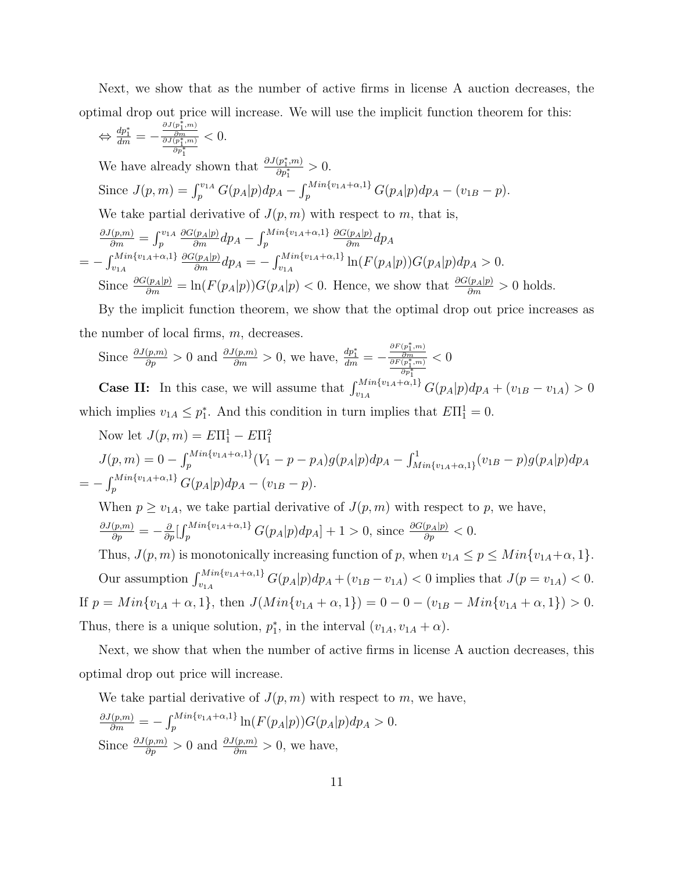Next, we show that as the number of active firms in license A auction decreases, the optimal drop out price will increase. We will use the implicit function theorem for this:

$$
\Leftrightarrow \frac{dp_1^*}{dm} = -\frac{\frac{\partial J(p_1^*,m)}{\partial m}}{\frac{\partial J(p_1^*,m)}{\partial p_1^*}} < 0.
$$

We have already shown that  $\frac{\partial J(p_1^*,m)}{\partial n^*}$  $\frac{(p_1,m)}{\partial p_1^*}>0.$ Since  $J(p,m) = \int_{p}^{v_{1A}} G(p_A|p) dp_A - \int_{p}^{Min\{v_{1A} + \alpha, 1\}}$  $\sum_{p}^{Mlin\{v_{1A}+\alpha,1\}} G(p_A|p) dp_A - (v_{1B}-p).$ 

We take partial derivative of  $J(p, m)$  with respect to  $m$ , that is,

$$
\frac{\partial J(p,m)}{\partial m} = \int_{p}^{v_{1A}} \frac{\partial G(p_A|p)}{\partial m} dp_A - \int_{p}^{Min\{v_{1A} + \alpha, 1\}} \frac{\partial G(p_A|p)}{\partial m} dp_A
$$
  
= 
$$
- \int_{v_{1A}}^{Min\{v_{1A} + \alpha, 1\}} \frac{\partial G(p_A|p)}{\partial m} dp_A = - \int_{v_{1A}}^{Min\{v_{1A} + \alpha, 1\}} \ln(F(p_A|p)) G(p_A|p) dp_A > 0.
$$
  
Since 
$$
\frac{\partial G(p_A|p)}{\partial m} = \ln(F(p_A|p)) G(p_A|p) < 0.
$$
 Hence, we show that 
$$
\frac{\partial G(p_A|p)}{\partial m} > 0
$$
 holds.

By the implicit function theorem, we show that the optimal drop out price increases as the number of local firms,  $m$ , decreases.

Since 
$$
\frac{\partial J(p,m)}{\partial p} > 0
$$
 and  $\frac{\partial J(p,m)}{\partial m} > 0$ , we have,  $\frac{dp_1^*}{dm} = -\frac{\frac{\partial F(p_1^*,m)}{\partial m}}{\frac{\partial F(p_1^*,m)}{\partial p_1^*}} < 0$ 

**Case II:** In this case, we will assume that  $\int_{v_{1A}}^{Min\{v_{1A}+\alpha,1\}} G(p_A|p) dp_A + (v_{1B} - v_{1A}) > 0$ which implies  $v_{1A} \leq p_1^*$ . And this condition in turn implies that  $E\Pi_1^1 = 0$ .

Now let 
$$
J(p, m) = E\Pi_1^1 - E\Pi_1^2
$$
  
\n
$$
J(p, m) = 0 - \int_p^{Min\{v_{1A} + \alpha, 1\}} (V_1 - p - p_A) g(p_A|p) dp_A - \int_{Min\{v_{1A} + \alpha, 1\}}^1 (v_{1B} - p) g(p_A|p) dp_A
$$
\n
$$
= - \int_p^{Min\{v_{1A} + \alpha, 1\}} G(p_A|p) dp_A - (v_{1B} - p).
$$

When  $p \ge v_{1A}$ , we take partial derivative of  $J(p, m)$  with respect to p, we have,  $\frac{\partial J(p,m)}{\partial p} = -\frac{\partial}{\partial p}$  $\int M in \{v_{1A}+\alpha, 1\}$  $\frac{c^{M}M}{p} \frac{\partial^{c}(p_{A}|p)}{\partial p} dp_{A} + 1 > 0$ , since  $\frac{\partial^{c}(p_{A}|p)}{\partial p} < 0$ . Thus,  $J(p, m)$  is monotonically increasing function of p, when  $v_{1A} \leq p \leq Min\{v_{1A} + \alpha, 1\}$ . Our assumption  $\int_{v_{1A}}^{Min\{v_{1A}+\alpha,1\}} G(p_A|p) dp_A + (v_{1B}-v_{1A}) < 0$  implies that  $J(p=v_{1A}) < 0$ . If  $p = Min\{v_{1A} + \alpha, 1\}$ , then  $J(Min\{v_{1A} + \alpha, 1\}) = 0 - 0 - (v_{1B} - Min\{v_{1A} + \alpha, 1\}) > 0$ .

Thus, there is a unique solution,  $p_1^*$ , in the interval  $(v_{1A}, v_{1A} + \alpha)$ .

Next, we show that when the number of active firms in license A auction decreases, this optimal drop out price will increase.

We take partial derivative of  $J(p, m)$  with respect to m, we have,

$$
\frac{\partial J(p,m)}{\partial m} = -\int_p^{Min\{v_{1A} + \alpha, 1\}} \ln(F(p_A|p)) G(p_A|p) dp_A > 0.
$$
  
Since  $\frac{\partial J(p,m)}{\partial p} > 0$  and  $\frac{\partial J(p,m)}{\partial m} > 0$ , we have,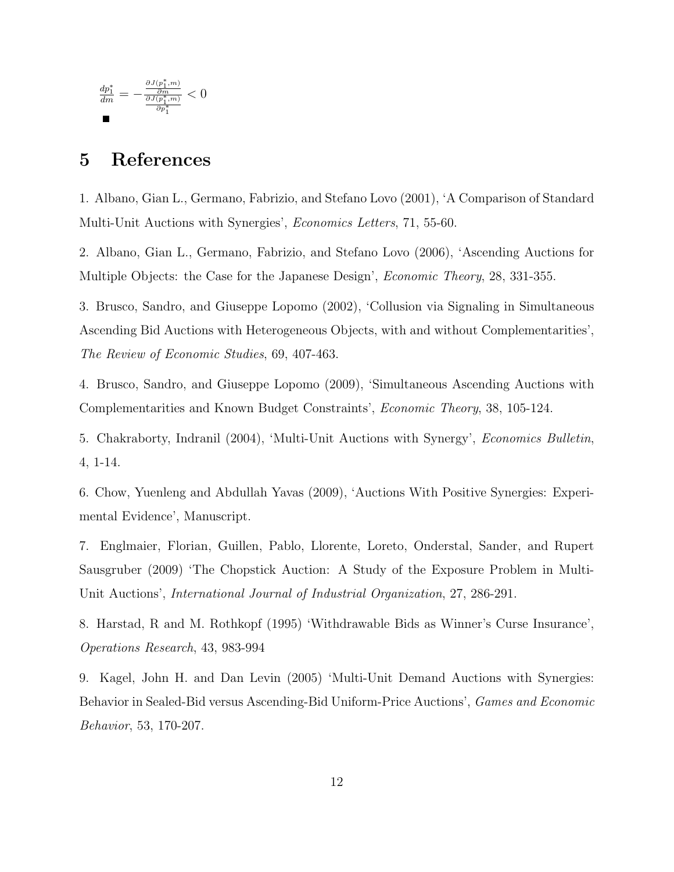$$
\tfrac{dp_1^*}{dm}=-\tfrac{\tfrac{\partial J(p_1^*,m)}{\partial m}}{\tfrac{\partial J(p_1^*,m)}{\partial p_1^*}}<0
$$

# 5 References

1. Albano, Gian L., Germano, Fabrizio, and Stefano Lovo (2001), 'A Comparison of Standard Multi-Unit Auctions with Synergies', Economics Letters, 71, 55-60.

2. Albano, Gian L., Germano, Fabrizio, and Stefano Lovo (2006), 'Ascending Auctions for Multiple Objects: the Case for the Japanese Design', *Economic Theory*, 28, 331-355.

3. Brusco, Sandro, and Giuseppe Lopomo (2002), 'Collusion via Signaling in Simultaneous Ascending Bid Auctions with Heterogeneous Objects, with and without Complementarities', The Review of Economic Studies, 69, 407-463.

4. Brusco, Sandro, and Giuseppe Lopomo (2009), 'Simultaneous Ascending Auctions with Complementarities and Known Budget Constraints', Economic Theory, 38, 105-124.

5. Chakraborty, Indranil (2004), 'Multi-Unit Auctions with Synergy', Economics Bulletin, 4, 1-14.

6. Chow, Yuenleng and Abdullah Yavas (2009), 'Auctions With Positive Synergies: Experimental Evidence', Manuscript.

7. Englmaier, Florian, Guillen, Pablo, Llorente, Loreto, Onderstal, Sander, and Rupert Sausgruber (2009) 'The Chopstick Auction: A Study of the Exposure Problem in Multi-Unit Auctions', International Journal of Industrial Organization, 27, 286-291.

8. Harstad, R and M. Rothkopf (1995) 'Withdrawable Bids as Winner's Curse Insurance', Operations Research, 43, 983-994

9. Kagel, John H. and Dan Levin (2005) 'Multi-Unit Demand Auctions with Synergies: Behavior in Sealed-Bid versus Ascending-Bid Uniform-Price Auctions', Games and Economic Behavior, 53, 170-207.